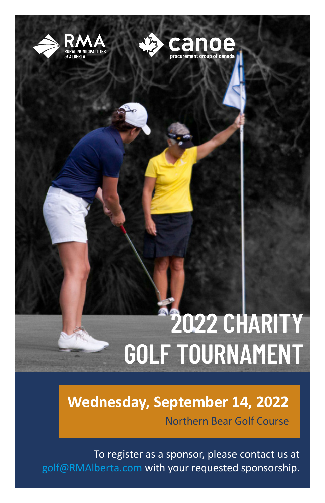



## **2022 CHARITY GOLF TOURNAMENT**

**Wednesday, September 14, 2022** Northern Bear Golf Course

To register as a sponsor, please contact us at golf@RMAlberta.com with your requested sponsorship.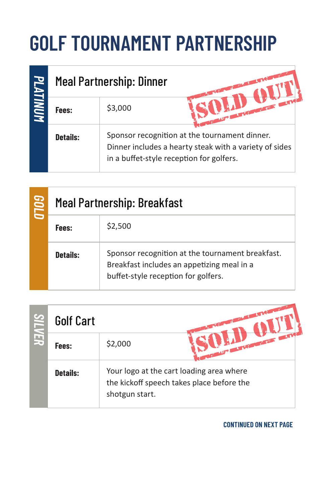## **GOLF TOURNAMENT PARTNERSHIP**

|          |                 | <b>Meal Partnership: Dinner</b>                                                                                                                     |  |
|----------|-----------------|-----------------------------------------------------------------------------------------------------------------------------------------------------|--|
| PLATINUM | Fees:           | \$3,000                                                                                                                                             |  |
|          | <b>Details:</b> | Sponsor recognition at the tournament dinner.<br>Dinner includes a hearty steak with a variety of sides<br>in a buffet-style reception for golfers. |  |

| 000 | <b>Meal Partnership: Breakfast</b> |                                                                                                                                       |  |
|-----|------------------------------------|---------------------------------------------------------------------------------------------------------------------------------------|--|
|     | Fees:                              | \$2,500                                                                                                                               |  |
|     | Details:                           | Sponsor recognition at the tournament breakfast.<br>Breakfast includes an appetizing meal in a<br>buffet-style reception for golfers. |  |

| <u>ဟ</u> | <b>Golf Cart</b> |                                                                                                         |
|----------|------------------|---------------------------------------------------------------------------------------------------------|
| F,       | Fees:            | <b>CONTRACTOR</b><br>\$2,000                                                                            |
|          | <b>Details:</b>  | Your logo at the cart loading area where<br>the kickoff speech takes place before the<br>shotgun start. |

**CONTINUED ON NEXT PAGE**